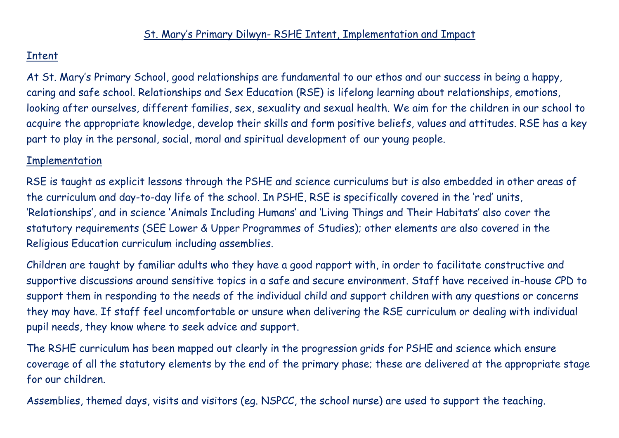## Intent

At St. Mary's Primary School, good relationships are fundamental to our ethos and our success in being a happy, caring and safe school. Relationships and Sex Education (RSE) is lifelong learning about relationships, emotions, looking after ourselves, different families, sex, sexuality and sexual health. We aim for the children in our school to acquire the appropriate knowledge, develop their skills and form positive beliefs, values and attitudes. RSE has a key part to play in the personal, social, moral and spiritual development of our young people.

## Implementation

RSE is taught as explicit lessons through the PSHE and science curriculums but is also embedded in other areas of the curriculum and day-to-day life of the school. In PSHE, RSE is specifically covered in the 'red' units, 'Relationships', and in science 'Animals Including Humans' and 'Living Things and Their Habitats' also cover the statutory requirements (SEE Lower & Upper Programmes of Studies); other elements are also covered in the Religious Education curriculum including assemblies.

Children are taught by familiar adults who they have a good rapport with, in order to facilitate constructive and supportive discussions around sensitive topics in a safe and secure environment. Staff have received in-house CPD to support them in responding to the needs of the individual child and support children with any questions or concerns they may have. If staff feel uncomfortable or unsure when delivering the RSE curriculum or dealing with individual pupil needs, they know where to seek advice and support.

The RSHE curriculum has been mapped out clearly in the progression grids for PSHE and science which ensure coverage of all the statutory elements by the end of the primary phase; these are delivered at the appropriate stage for our children.

Assemblies, themed days, visits and visitors (eg. NSPCC, the school nurse) are used to support the teaching.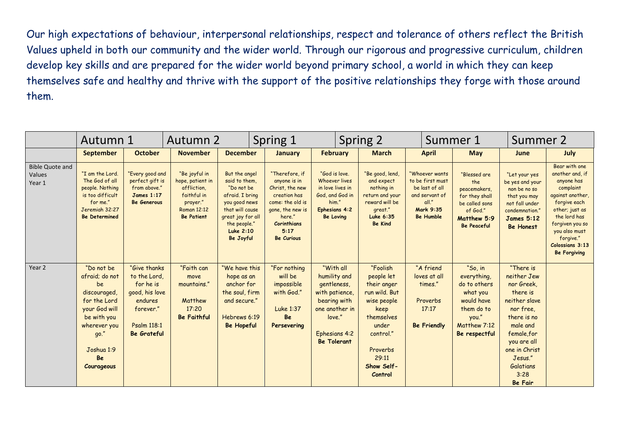Our high expectations of behaviour, interpersonal relationships, respect and tolerance of others reflect the British Values upheld in both our community and the wider world. Through our rigorous and progressive curriculum, children develop key skills and are prepared for the wider world beyond primary school, a world in which they can keep themselves safe and healthy and thrive with the support of the positive relationships they forge with those around them.

|                                            | Autumn 1                                                                                                                                                            |                                                                                                                                  | Autumn 2                                                                                                        |                                                                                                                                                                           | Spring 1                                                                                                                                                               |                                                                                                                                                      | Spring 2                                                                                                                                                        |                                                                                                                  | Summer 1                                                                                                                 | Summer 2                                                                                                                                                                                                    |                                                                                                                                                                                                                             |
|--------------------------------------------|---------------------------------------------------------------------------------------------------------------------------------------------------------------------|----------------------------------------------------------------------------------------------------------------------------------|-----------------------------------------------------------------------------------------------------------------|---------------------------------------------------------------------------------------------------------------------------------------------------------------------------|------------------------------------------------------------------------------------------------------------------------------------------------------------------------|------------------------------------------------------------------------------------------------------------------------------------------------------|-----------------------------------------------------------------------------------------------------------------------------------------------------------------|------------------------------------------------------------------------------------------------------------------|--------------------------------------------------------------------------------------------------------------------------|-------------------------------------------------------------------------------------------------------------------------------------------------------------------------------------------------------------|-----------------------------------------------------------------------------------------------------------------------------------------------------------------------------------------------------------------------------|
|                                            | <b>September</b>                                                                                                                                                    | <b>October</b>                                                                                                                   | <b>November</b>                                                                                                 | <b>December</b>                                                                                                                                                           | <b>January</b>                                                                                                                                                         | <b>February</b>                                                                                                                                      | <b>March</b>                                                                                                                                                    | <b>April</b>                                                                                                     | <b>May</b>                                                                                                               | June                                                                                                                                                                                                        | July                                                                                                                                                                                                                        |
| <b>Bible Quote and</b><br>Values<br>Year 1 | "I am the Lord.<br>The God of all<br>people. Nothing<br>is too difficult<br>for me."<br>Jeremiah 32:27<br><b>Be Determined</b>                                      | "Every good and<br>perfect gift is<br>from above."<br><b>James 1:17</b><br>Be Generous                                           | "Be joyful in<br>hope, patient in<br>affliction,<br>faithful in<br>prayer."<br>Roman 12:12<br><b>Be Patient</b> | But the angel<br>said to them,<br>"Do not be<br>afraid. I bring<br>you good news<br>that will cause<br>great joy for all<br>the people."<br><b>Luke 2:10</b><br>Be Joyful | "Therefore, if<br>anyone is in<br>Christ, the new<br>creation has<br>come: the old is<br>gone, the new is<br>here."<br><b>Corinthians</b><br>5:17<br><b>Be Curious</b> | "God is love.<br>Whoever lives<br>in love lives in<br>God, and God in<br>him."<br><b>Ephesians 4:2</b><br><b>Be Loving</b>                           | "Be good, lend<br>and expect<br>nothing in<br>return and your<br>reward will be<br>great."<br>Luke 6:35<br><b>Be Kind</b>                                       | "Whoever wants<br>to be first must<br>be last of all<br>and servant of<br>all."<br>Mark 9:35<br><b>Be Humble</b> | "Blessed are<br>the<br>peacemakers,<br>for they shall<br>be called sons<br>of God."<br>Matthew 5:9<br><b>Be Peaceful</b> | "Let your yes<br>be yes and your<br>non be no so<br>that you may<br>not fall under<br>condemnation."<br><b>James 5:12</b><br><b>Be Honest</b>                                                               | Bear with one<br>another and, if<br>anyone has<br>complaint<br>against another<br>forgive each<br>other; just as<br>the lord has<br>forgiven you so<br>you also must<br>forgive."<br>Colossians 3:13<br><b>Be Forgiving</b> |
| Year 2                                     | "Do not be<br>afraid; do not<br>be<br>discouraged,<br>for the Lord<br>your God will<br>be with you<br>wherever you<br>go."<br>Joshua 1:9<br><b>Be</b><br>Courageous | "Give thanks"<br>to the Lord,<br>for he is<br>good, his love<br>endures<br>forever."<br><b>Psalm 118:1</b><br><b>Be Grateful</b> | "Faith can<br>move<br>mountains."<br>Matthew<br>17:20<br><b>Be Faithful</b>                                     | "We have this<br>hope as an<br>anchor for<br>the soul, firm<br>and secure."<br>Hebrews 6:19<br><b>Be Hopeful</b>                                                          | "For nothing<br>will be<br>impossible<br>with God."<br>Luke 1:37<br>Be<br>Persevering                                                                                  | "With all<br>humility and<br>gentleness,<br>with patience,<br>bearing with<br>one another in<br>love."<br><b>Ephesians 4:2</b><br><b>Be Tolerant</b> | "Foolish<br>people let<br>their anger<br>run wild. But<br>wise people<br>keep<br>themselves<br>under<br>control."<br>Proverbs<br>29:11<br>Show Self-<br>Control | "A friend<br>loves at all<br>times."<br>Proverbs<br>17:17<br><b>Be Friendly</b>                                  | "So, in<br>everything,<br>do to others<br>what you<br>would have<br>them do to<br>you."<br>Matthew 7:12<br>Be respectful | "There is<br>neither Jew<br>nor Greek,<br>there is<br>neither slave<br>nor free.<br>there is no<br>male and<br>female for<br>you are all<br>one in Christ<br>Jesus."<br>Galatians<br>3:28<br><b>Be Fair</b> |                                                                                                                                                                                                                             |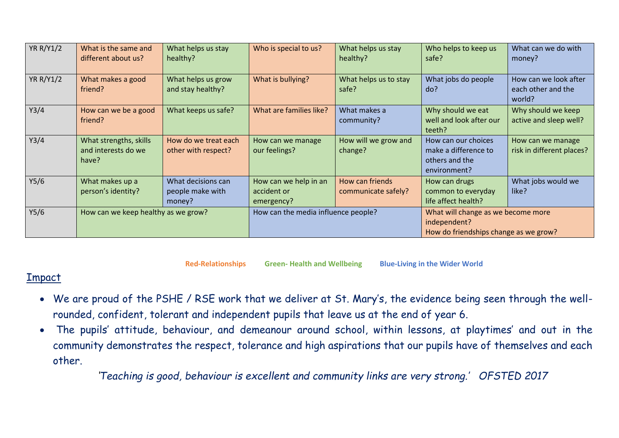| <b>YR R/Y1/2</b> | What is the same and<br>different about us?            | What helps us stay<br>healthy?                   | Who is special to us?                              | What helps us stay<br>healthy?         | Who helps to keep us<br>safe?                                                               | What can we do with<br>money?                         |  |
|------------------|--------------------------------------------------------|--------------------------------------------------|----------------------------------------------------|----------------------------------------|---------------------------------------------------------------------------------------------|-------------------------------------------------------|--|
| <b>YR R/Y1/2</b> | What makes a good<br>friend?                           | What helps us grow<br>and stay healthy?          | What is bullying?                                  | What helps us to stay<br>safe?         | What jobs do people<br>do?                                                                  | How can we look after<br>each other and the<br>world? |  |
| Y3/4             | How can we be a good<br>friend?                        | What keeps us safe?                              | What are families like?                            | What makes a<br>community?             | Why should we eat<br>well and look after our<br>teeth?                                      | Why should we keep<br>active and sleep well?          |  |
| Y3/4             | What strengths, skills<br>and interests do we<br>have? | How do we treat each<br>other with respect?      | How can we manage<br>our feelings?                 | How will we grow and<br>change?        | How can our choices<br>make a difference to<br>others and the<br>environment?               | How can we manage<br>risk in different places?        |  |
| Y5/6             | What makes up a<br>person's identity?                  | What decisions can<br>people make with<br>money? | How can we help in an<br>accident or<br>emergency? | How can friends<br>communicate safely? | How can drugs<br>common to everyday<br>life affect health?                                  | What jobs would we<br>like?                           |  |
| Y5/6             | How can we keep healthy as we grow?                    |                                                  | How can the media influence people?                |                                        | What will change as we become more<br>independent?<br>How do friendships change as we grow? |                                                       |  |

**Red-Relationships Green- Health and Wellbeing Blue-Living in the Wider World**

## Impact

- We are proud of the PSHE / RSE work that we deliver at St. Mary's, the evidence being seen through the wellrounded, confident, tolerant and independent pupils that leave us at the end of year 6.
- The pupils' attitude, behaviour, and demeanour around school, within lessons, at playtimes' and out in the community demonstrates the respect, tolerance and high aspirations that our pupils have of themselves and each other.

*'Teaching is good, behaviour is excellent and community links are very strong.' OFSTED 2017*